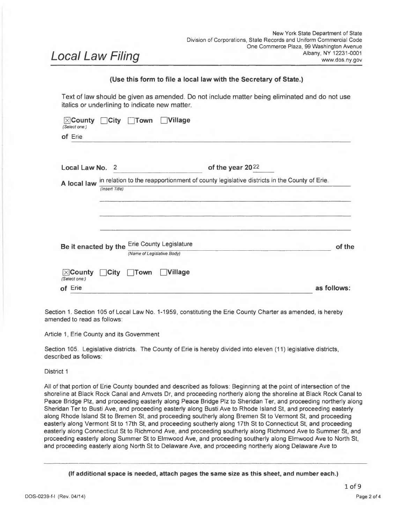# *Local Law Filing*

## **(Use this form to file <sup>a</sup> local law with the Secretary of State.)**

Text of law should be given as amended. Do not include matter being eliminated and do not use

| italics or underlining to indicate new matter.                                         |                                                                                           |
|----------------------------------------------------------------------------------------|-------------------------------------------------------------------------------------------|
| $\boxtimes$ County $\Box$ City<br>$\Box$ Village<br><b>Town</b><br>(Select one:)       |                                                                                           |
| of Erie                                                                                |                                                                                           |
|                                                                                        |                                                                                           |
| Local Law No.<br>2                                                                     | of the year 2022                                                                          |
| A local law                                                                            | in relation to the reapportionment of county legislative districts in the County of Erie. |
| (Insert Title)                                                                         |                                                                                           |
|                                                                                        |                                                                                           |
|                                                                                        |                                                                                           |
|                                                                                        |                                                                                           |
|                                                                                        |                                                                                           |
| <b>Erie County Legislature</b><br>Be it enacted by the                                 | of the                                                                                    |
| (Name of Legislative Body)                                                             |                                                                                           |
| <b>Village</b><br>$\boxtimes$ County<br>$\exists$ City<br><b>Town</b><br>(Select one:) |                                                                                           |
| of Erie                                                                                | as follows:                                                                               |

Section 1. Section 105 of Local Law No. 1-1959, constituting the Erie County Charter as amended, is hereby amended to read as follows:

Article 1, Erie County and its Government

Section 105. Legislative districts. The County of Erie is hereby divided into eleven (11) legislative districts, described as follows:

#### District <sup>1</sup>

All of that portion of Erie County bounded and described as follows: Beginning at the point of intersection of the shoreline at Black Rock Canal and Amvets Dr, and proceeding northerly along the shoreline at Black Rock Canal to Peace Bridge Plz, and proceeding easterly along Peace Bridge Plz to Sheridan Ter, and proceeding northerly along Sheridan Ter to Busti Ave, and proceeding easterly along Busti Ave to Rhode Island St, and proceeding easterly along Rhode Island St to Bremen St, and proceeding southerly along Bremen St to Vermont St, and proceeding easterly along Vermont St to 17th St, and proceeding southerly along 17th St to Connecticut St, and proceeding easterly along Connecticut St to Richmond Ave, and proceeding southerly along Richmond Ave to Summer St, and proceeding easterly along Summer St to Elmwood Ave, and proceeding southerly along Elmwood Ave to North St, and proceeding easterly along North St to Delaware Ave, and proceeding northerly along Delaware Ave to

**(If additional space is needed, attach pages the same size as this sheet, and number each.)**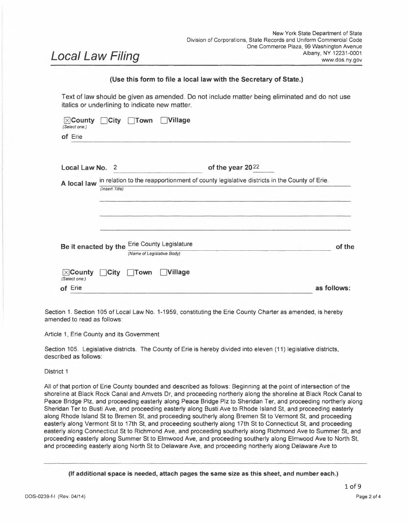Summer St, and proceeding easterly along Summer St to Main St, and proceeding northerly along Main St to Woodlawn Ave, and proceeding easterly along Woodlawn Ave to Chester St, and proceeding southerly along Chester St to Glenwood Ave, and proceeding easterly along Glenwood Ave to Jefferson Ave, and proceeding northerly along Jefferson Ave to Northland Ave, and proceeding easterly along Northland Ave to N Fillmore Ave, and proceeding northerly along N Fillmore Ave to Penn Central RR, and proceeding easterly along Penn Central RR to Northland Ave, and proceeding easterly along Northland Ave to Cornwall Ave, and proceeding southerly along Cornwall Ave to Scajaquada St, and proceeding easterly along Scajaquada St to Colorado Ave, and proceeding southerly along Colorado Ave to Scajaquada St, and proceeding easterly along Scajaquada St, and proceeding northerly to Northland Ave, and proceeding easterly along Northland Ave to Bailey Ave, and proceeding southerly along Bailey Ave to Lang Ave, and proceeding easterly along Lang Ave to Newburgh Ave, and proceeding northerly along Newburgh Ave to Lang Ave, and proceeding easterly along Lang Ave to East End Ave, and proceeding southerly along East End Ave to the Cheektowaga/Buffalo line, and proceeding southerly along the Cheektowaga/Buffalo line to Reiman St, and proceeding westerly along Reiman St to N Ogden St, and proceeding southerly along N Ogden St to Reiman St, and proceeding westerly along Reiman St to Davey St, and proceeding southerly along Davey St to Vanderbilt St, and proceeding westerly along Vanderbilt St to Ideal St, and proceeding southerly along Ideal St to William St , and proceeding westerly along William St to Bailey Ave, and proceeding southerly along Bailey Ave to the Buffalo River shoreline, and proceeding westerly along the Buffalo River shoreline to the point just south of Babcock St, and proceeding northerly along Babcock St to Seneca St, and proceeding westerly along Seneca St to Wasson St, and proceeding northerly along Wasson St to Penn Central RR, and proceeding westerly along Penn Central RR to Erie-Lackawanna RR, and proceeding westerly along Erie-Lackawanna RR to Norfolk and Western Rlwy, and proceeding southerly along Norfolk and Western Rlwy to Seneca St, and proceeding westerly along Seneca St to Smith St, and proceeding southerly along Smith St to Fulton St, and proceeding westerly along Fulton St for .48 miles, and proceeding southerly at a 126 degree angle to Elk St, and proceeding westerly along Elk St to <sup>S</sup> Park Ave, and proceeding westerly along South Park Ave to point (-78.854869, 42.870054), and proceeding southerly to the Buffalo River Shoreline, and proceeding westerly along the Buffalo River Shoreline to the Buffalo Skyway, and proceeding northerly along the Buffalo Skyway to Marine Dr, and proceeding westerly along Marine Dr to Erie St, and proceeding northerly to Wilkeson Way, and proceeding westerly along Wilkeson Way to La Riviere Dr, and proceeding westerly on La Riviere Dr to the Buffalo Harbor shoreline, and proceeding northerly along the Buffalo Harbor shoreline to the point of beginning.

## District <sup>2</sup>

All ofthat portion of Erie County bounded and described as follows: Beginning at the Erie County line, and proceeding easterly across the Niagara River to the shoreline ofthe Black Rock Canal, and proceeding southerly along the shoreline of the Black Rock Canal to Erie-Lackawanna RR, and proceeding easterly along Erie-Lackawanna RR to 1-190, and proceeding southerly along 1-190 to Scajaquada Crk, and proceeding easterly along Scajaquada Crk to Niagara St, and proceeding southerly along Niagara St to the on-ramp of the I-190, and proceeding westerly along the off-ramp of the I-190 to Forest Ave, and proceeding easterly along Forest Ave to Grant St, and proceeding northerly along Grant St to the 198-E on-ramp to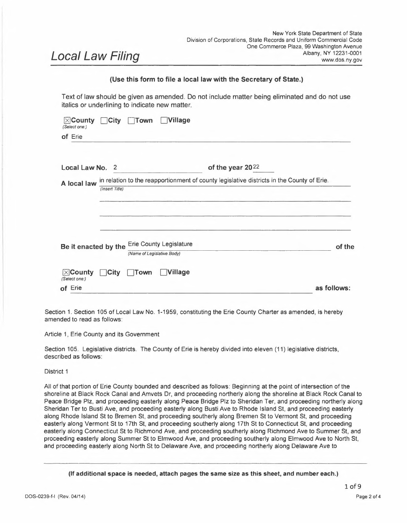the Scajaquada Expy, and proceeding easterly along the Scajaquada Expressway to Elmwood Ave, and proceeding southerly along Elmwood Ave to Bird Ave, and proceeding easterly along Bird Ave to Delaware Ave, and proceeding southerly along Delaware Ave to W Delavan Ave, and proceeding easterly along W Delavan Ave to Main St, and proceeding northerly along Main St to Lasalle Ave, and proceeding southerly along Lasalle Ave to Cordova Ave, and proceeding northerly along Cordova Ave to Highgate Ave, and proceeding easterly along Highgate Ave to Bailey Ave, and proceeding northerly along Bailey Ave to Winspear Ave, and proceeding easterly along Winspear Ave to Lebrun Rd, and proceeding easterly along Lebrun Rd to the Amherst/Buffalo line, and proceeding easterly along the Amherst/Buffalo line to the Cheektowaga/Buffalo line, and proceeding southerly along the Cheektowaga/Buffalo line to Lang Ave, and proceeding westerly along Lang Ave to Newburgh Ave, and proceeding southerly along Newburgh Ave to Lang Ave, and proceeding westerly along Lang Ave to Bailey Ave, and proceeding northerly along Bailey Ave to Northland Ave, and proceeding westerly along Northland Ave at a 68 degree angle to Scajaquada St, and proceeding westerly along Scajaquada St to Cornwall Ave, and proceeding northerly along Cornwall Ave to Northland Ave, and proceeding westerly along Northland Ave to Penn Central RR, and proceeding westerly along Penn Central RR to Fillmore Ave, and proceeding southerly along Fillmore Ave to Northland Ave, and proceeding westerly along Northland Ave to Jefferson Ave, and proceeding southerly along Jefferson Ave to Glenwood Ave, and proceeding westerly along Glenwood Ave to Chester St, and proceeding northerly along Chester St to Woodlawn Ave, and proceeding westerly along Woodlawn Ave to Main St, and proceeding southerly along Main St to Summer St, and proceeding westerly along Summer St to Delaware Ave, and proceeding southerly along Delaware Ave to North St, and proceeding westerly along North St to Elmwood Ave, and proceeding northerly along Elmwood Ave to Summer St, and proceeding westerly along Summer St to Richmond Ave, and proceeding northerly along Richmond Ave to Connecticut St, and proceeding westerly along Connecticut St to 17th St, and proceeding northerly along 17th St to Vermont St, and proceeding westerly along Vermont St to Bremen St, and proceeding northerly along Bremen St to Rhode Island St, and proceeding westerly along Rhode Island St to Busti Ave, and proceeding northerly along Busti Ave to Sheridan Ter, and proceeding southerly along Sheridan Ter to Peace Bridge Plz, and proceeding southerly along Peace Bridge Plz to the Buffalo Harbor Shoreline, and southerly along Buffalo Harbor Shoreline to point (-78.9015, 42.896474), and proceeding southerly at a 110 degree angle to point (-78.905334, 42.894070) in Buffalo Harbor, and proceeding northerly at an angle of 64.5 degrees to the Erie County line, and proceeding northerly along the Erie County line to the point of beginning.

## District <sup>3</sup>

All of that portion of Erie County bounded and described as follows: Beginning at the point of  $(-1)^n$ <sup>78</sup> .912424, 42.937770) on the Erie County line, and proceeding northerly around the Town of Grand Island to the point (-78.916947, 43.009050) and proceeding easterly along the Tonawanda town line to Conrail RR, and proceeding southerly along Conrail RR to Sheridan Dr, and proceeding easterly along Sheridan Dr to Military Rd, and proceeding southerly along Military Rd to Westchester Blvd, and proceeding easterly along Westchester Blvd to Elmwood Ave, and proceeding northerly along Elmwood Ave to Kenview Ave, and proceeding easterly along Kenview Ave to Delaware Ave, and proceeding southerly along Delaware Ave to Princeton Blvd, and proceeding easterly along Princeton Blvd to Delaware Rd, and proceeding northerly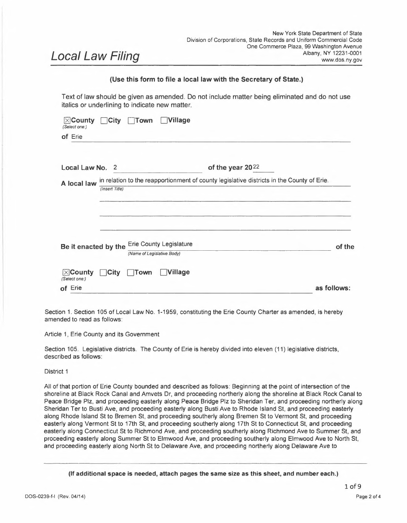along Delaware Rd to Highland Pkwy, and proceeding easterly along Highland Pkwy to Belmont Ave, and proceeding southerly along Belmont Ave to Cortland Ave, and proceeding easterly along Cortland Ave to Irving Ter, and proceeding southerly along Irving Ter to McKinley Ave, and proceeding westerly along McKinley Ave to the Kenmore village line, and proceeding southerly along the Kenmore village line to the Buffalo city line, and proceeding westerly along the Buffalo city line to Colvin Ave, and proceeding southerly along Colvin Ave to Amherst St, and proceeding easterly along Amherst St to Parkside Ave, and proceeding southerly along Parkside Ave to Agassiz Cir, and proceeding southerly along Agassiz Cir to W Humboldt Pkwy, and proceeding easterly along W Humboldt Pkwy to Main St, and proceeding southerly along Main St to W Delavan Ave, and proceeding westerly along W Delavan Ave to Delaware Ave, and proceeding northerly along Delaware Ave to Bird Ave, and proceeding westerly along Bird Ave to Elmwood Ave, and proceeding northerly along Elmwood Ave to Scajaquada Expy, and proceeding westerly along Scajaquada Expy to Grant St, and proceeding southerly along Grant St to Forest Ave, and proceeding westerly along Forest Ave to Niagara St, and proceeding northerly along Niagara St to Scajaquada Crk, and proceeding westerly along Scajaquada Crk to I-190, and proceeding northerly along I-190 to Erie-Lackawanna RR, and proceeding to the point of beginning.

## District 4

All of that portion of Erie County bounded and described as follows: Beginning at the point of (-78.916947, 43.005050) and proceeding easterly along the City of Tonawanda city line to the Town of Tonawanda town line, and proceeding easterly along the Tonawanda town line to the Amherst town line at Niagara Falls Blvd, and proceeding southerly along the Amherst/Tonawanda town line to Kenmore Ave, and then proceeding easterly along Kenmore Ave to Main St, and then proceeding easterly along Main St to the Buffalo/Amherst city line, and proceeding southerly along the Buffalo/Amherst city line to Lebrun Rd, and proceeding southwesterly along Lebrun Rd to Winspear Ave, and proceeding westerly along Winspear Ave to Bailey Ave, and proceeding southerly along Bailey Ave to Highgate Ave, and proceeding westerly along Highgate Ave to Cordova Ave, and proceeding southerly along Cordova Ave to Lasalle Ave, and proceeding westerly along Lasalle Ave to Main St, and proceeding southerly along Main St to W Humboldt Pkwy, and proceeding westerly along W Humboldt Pkwy to Agassiz Cir, and proceeding northerly along Agassiz Cir to Parkside Ave, and proceeding northerly along Parkside Ave to Amherst St, and proceeding westerly along Amherst St to Colvin Ave, and proceeding northerly along Colvin Ave to the Kenmore/Buffalo line, and proceeding easterly along the Kenmore/Buffalo line to the Kenmore village line, and proceeding northerly along the Kenmore village line to McKinley Ave, and proceeding easterly along McKinley Ave to Irving Ter, and proceeding northerly along Irving Ter to Cortland Ave, and proceeding westerly along Cortland Ave to Belmont Ave, and proceeding northerly along Belmont Ave to Highland Pkwy, and proceeding westerly along Highland Pkwy to Delaware Rd, and proceeding southerly along Delaware Rd to Princeton Blvd, and proceeding westerly along Princeton Blvd to Delaware Ave, and proceeding northerly along Delaware Ave to Kenview Ave, and proceeding westerly along Kenview Ave to Elmwood Ave, and proceeding southerly along Elmwood Ave to Westchester Blvd, and proceeding westerly along Westchester Blvd to Military Rd, and proceeding northerly along Military Rd to Sheridan Dr, and proceeding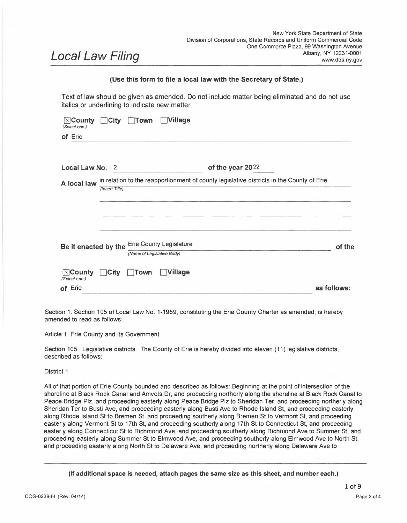westerly along Sheridan Dr to Conrail RR, and proceeding northerly along Conrail RR to the point of beginning.

## District <sup>5</sup>

All of that portion of Erie County bounded and described as follows: Beginning at the point of  $(-1)^n$ 78.825975, 43.036028) to E Robinson Rd, and proceeding easterly along E Robinson Rd to N French Rd, and proceeding easterly along N French Rd to Sweet Home Rd, and proceeding southerly along Sweet Home Rd to the Amherst Bike Path, and proceeding easterly along the Amherst Bike Path to Dodge Rd to 1-990, and proceeding easterly along 1-990, and proceeding easterly along 1-990 to Campbell Blvd, and proceeding southerly along Campbell Blvd to Dodge Rd, and proceeding easterly along Dodge Rd to Hopkins Rd, and proceeding southerly along Hopkins Rd to Sheridan Dr, and proceeding easterly along Sheridan Dr to Transit Rd, and proceeding southerly along Transit Rd to the Depew/Cheektowaga line, and proceeding westerly along the Depew/Cheektowaga line to railroad, and proceeding northerly along the railroad and proceeding westerly bisecting the industrial park north of Hyland Ave to Surfside Pkwy, and proceeding westerly along Surfside Pkwy to Royal Palm Dr, and proceeding southerly along Royal Palm Dr to Satinwood Dr, and proceeding westerly along Satinwood Dr to Biscayne Dr, and proceeding southerly along Biscayne Dr to Crandon Blvd, and proceeding westerly along Crandon Blvd to point (-78.733796, 42.427367) and proceeding westerly at a 115 degree angle to Dick Rd, and proceeding northerly along Dick Rd to Cayuga Rd, and proceeding northerly along Cayuga Rd to the Cheektowaga/Amherst town line and proceeding westerly along the Cheektowaga/Amherst town line to the Buffalo/Amherst line, and proceeding westerly along the Buffalo/Amherst line to Kenmore Ave to Niagara Falls Blvd, and proceeding northerly on Niagara Falls Blvd to Creekside Dr, and proceeding westerly on Creekside Dr to the shoreline of Tonawanda Creek, and proceeding along shoreline of Tonawanda Creek around Ellicott Island Park to the Erie County line, and proceeding northerly to the point of beginning.

## District 6

All of that portion of Erie County bounded and described as follows: Beginning at the point of intersection ofthe Erie County line and E Robinson Rd, and proceeding easterly along the Erie County line to the Erie/Genesee county line and proceeding southerly along the Erie/Genesee county line to the Newstead/Alden town line, and proceeding westerly along the Newstead/Alden town line to the Clarence/Lancaster town line, and proceeding westerly on the Clarence/Lancaster town line to Transit Rd, and proceeding northerly along Transit Rd to Sheridan Dr, and proceeding westerly along Sheridan Dr to Hopkins Rd, and proceeding northerly along Hopkins Rd to Dodge Rd, and proceeding westerly along Dodge Rd to Campbell Blvd, and proceeding northerly along Campbell Blvd to 1-990, and proceeding westerly along 1- 990 to the Amherst Bike Path, and proceeding westerly along the Amherst Bike Path to Sweet Home Rd, and proceeding northerly along Sweet Home Rd to N French Rd, and proceeding westerly along N French Rd to E Robinson Rd, and proceeding westerly along E Robinson Rd to the point of beginning.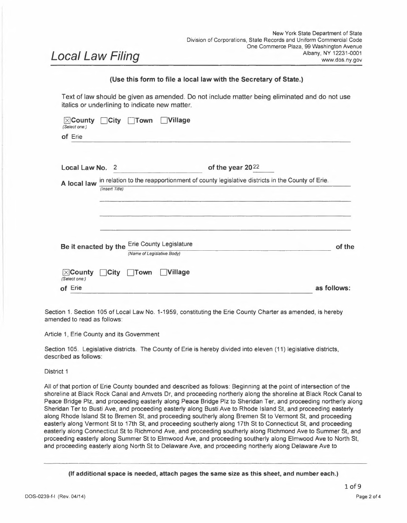All of that portion of Erie County bounded and described as follows: Beginning at the point of intersection ofKimmel Ave and Abbott Rd, and proceeding northerly along Kimmel Ave to McKinley Pkwy, and proceeding northerly along McKinley Pkwy to Bailey Ave, and proceeding northerly along Bailey Ave to William St, and proceeding easterly along William St to Ideal St, and proceeding northerly along Ideal St to Vanderbilt St, and proceeding easterly along Vanderbilt St to Davey St, and proceeding northerly along Davey St to Reiman St, and proceeding easterly along Reiman St to N Ogden St, and proceeding northerly along N Ogden St to Reiman St, and proceeding easterly along Reiman St to the Buffalo/Cheektowaga line, and proceeding northerly along the Buffalo/Cheektowaga line to the Amherst/Cheektowaga town line, and proceeding easterly along the Amherst/Cheektowaga town line to Cayuga Rd, and proceeding southerly along Cayuga Rd to Dick Rd, and proceeding southerly along Dick Rd to the Depew/Cheektowaga line, and proceeding easterly along the Depew/Cheektowaga line to (- 78.713407, 42.896017), and proceeding southerly to point (-78.713407, 42.885610) and proceeding easterly to point (-78.720802, 42.885610), and proceeding southerly to Losson Rd, and proceeding westerly along Losson Rd to point (-78.738076, 42.881677), and proceeding southerly along Slate Bottom Creek to point between Mayberry Dr <sup>E</sup> and Strasbourg Dr, and then proceeding southerly to French Rd, and proceeding westerly along French Rd to Gabrielle Dr, and proceeding southerly along Gabrielle Dr to St. Joan Ln, and proceeding easterly along St. Joan Ln to Collette Ave, and proceeding southerly along Collette Ave to the West Seneca/Cheektowaga town line, and proceeding westerly along the West Seneca/Cheektowaga town line to Union Rd, and proceeding southerly along Union Rd to Indian Church Rd, and proceeding westerly along Indian Church Rd to Harlem Rd, and proceeding southerly along Harlem Rd to Penn Ctrl RR, and proceeding westerly along Penn Central RR to the West Seneca/Buffalo line, and proceeding southerly along the West Seneca/Buffalo line to Potters Rd and proceeding westerly along Potters Rd to Abbott Rd, and proceeding northerly along Abbott Rd to the point of beginning.

## District <sup>8</sup>

All of that portion of Erie County bounded and described as follows: Beginning at the point of intersection of Gabrielle Dr and St Joan Ln, and proceeding northerly along Gabrielle Dr to French Rd, and proceeding easterly along French Rd to point (-78.736841, 42.867995) ,and proceeding northerly to Slate Bottom Creek, and proceed northerly on Slate Bottom Creek to Losson Rd to point (-78.92,0802, 42.880160), and proceeding northerly to point (-78.720802, 42.885610), and proceeding easterly to point (-78.738076, 42.885.610), and proceeding northerly to the Cheektowaga/Depew line, and proceeding westerly along the Cheektowaga/Depew line to Dick Rd, and proceeding northerly along Dick Rd to point (-78.741881, 42.924623), and proceeding northeasterly along the path south of the drainage canal, to the point due north of Stanislaus Ave and proceeding southerly from that point to Stanislaus Ave, and proceeding southerly along Stanislaus Ave to Crandon Blvd, and proceeding easterly along Crandon Blvd to Biscayne Dr, and proceeding northerly along Biscayne Dr to Satinwood Dr, and proceeding easterly along Satinwood Dr to Royal Palm Dr, and proceeding northerly along Royal Palm Dr to Surfside Pkwy, and proceeding easterly along Surfside Pkwy to its end, and proceeding easterly bisecting through the industrial park north of Hyland Ave to railroad, and proceeding southerly on railroad to the Cheektowaga/Depew line, and proceeding easterly along the Cheektowaga/Depew line to Transit Rd, and proceeding northerly along Transit Rd to the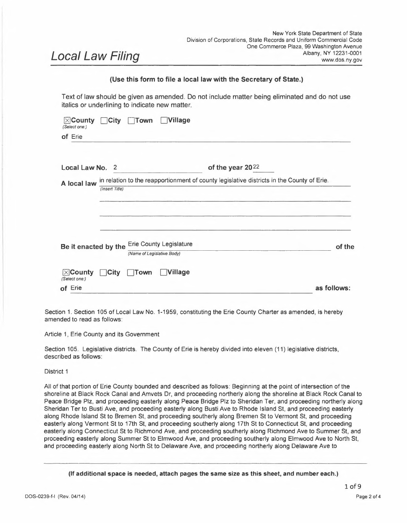Clarence/Lancaster town line, and proceeding easterly along the Clarence/Lancaster town line to the Alden/Newstead town line, and proceeding easterly to the Erie County line, and proceeding south along the Erie County line to the Marilla/Wales town line, and proceeding westerly on the Marilla/Wales town line to Porterville Rd, and proceeding northerly along Porterville Rd to the Elma/Marilla town line, and proceeding northerly along the Elma/Marilla town line to the Elma/Lancaster town line, and proceeding northerly along the Elma/Lancaster town line to the Cheektowaga/West Seneca town line, and proceeding westerly along the Cheektowaga/West Seneca town line to Collette Ave, and proceeding northerly along Collette Ave to StJoan Ln, and proceeding westerly along St Joan Ln to the point of beginning.

## District <sup>9</sup>

All of that portion of Erie County bounded and described as follows: Beginning at the point of intersection ofPleasant Ave and CSX RR, and proceeding northerly along Pleasant Ave to Wanakah Hts, and proceeding northerly along Wanakah Hts to the Lackawanna city line, and proceeding northerly along the Lackawanna city line to Lake Erie, and proceeding northerly along Lake Erie up and around the Erie Basin, and proceeding southerly to La Riviere Dr, and proceeding easterly along La Riviere Dr to Wilkeson Way, and proceeding easterly along Wilkeson Way to Erie St, and proceeding southerly along Erie St to Marine Dr, and proceeding easterly along Marine Dr to Buffalo Skwy, and proceeding southerly along Buffalo Skwy to Buffalo River, and proceeding easterly along the shoreline to Penn Central RR, and proceeding northerly along Penn Central RR to S Park Ave, and proceeding easterly along S Park Ave to Elk St, and proceeding easterly along Elk St to point (-78.851489, 42.869473), and proceeding northerly at a 125º angle to Fulton St, and proceeding easterly along Fulton St to Smith St, and proceeding northerly along Smith St to Seneca St, and proceeding easterly along Seneca St to Norfolk and Western Rlwy, and proceeding northerly along Norfolk and Western Rlwy to Erie-Lackawanna RR, and proceeding easterly along Erie-Lackawanna RR to Penn Central RR, and proceeding easterly along Penn Central RR to Wasson St, and proceeding southerly along Wasson St to Seneca St, and proceeding easterly along Seneca St to Babcock St, and proceeding southerly along Babcock St to Buffalo River shoreline, and proceeding easterly along Buffalo River shoreline to Bailey Ave, and proceeding southerly along Bailey Ave to McKinley Pkwy, and proceeding southerly along McKinley Pkwy to Kimmel Ave, and proceeding southerly along Kimmel Ave to Abbott Rd, and proceeding easterly along Abbott Rd to Potters Rd, and proceeding southerly along Potters Rd to the West Seneca/Buffalo line, and proceeding southerly along the West Seneca/Buffalo line to the West Seneca/Lackawanna line, and proceeding southerly along the West Seneca/Lackawanna line to Berg Rd, and proceeding westerly along Berg Rd to Abbott Rd, and proceeding southerly along Abbott Rd to Olympic Ave, and proceeding westerly along Olympic Ave to point (-78.795931, 42.782054), and proceeding southerly from point (-78.795931, 42.782054) to S Abbott Rd, and proceeding southerly along S Abbott Rd to Best St, and proceeding westerly along Best St to High St, and proceeding northerly along High St to Knab Dr, and proceeding westerly along Knab Dr to Clark St, and proceeding westerly along Clark St to Rush Crk, and proceeding southerly along Rush Crk to Salisbury Pl, and proceeding westerly along Salisbury Pl to McKinley Pkwy, and proceeding southerly along McKinley Pkwy to Newton Rd, and proceeding westerly along Newton Rd to Sunnyside Dr, and proceeding southerly along Sunnyside Dr to E Main St, and proceeding westerly along E Main St to the Hamburg village line, and proceeding southerly along the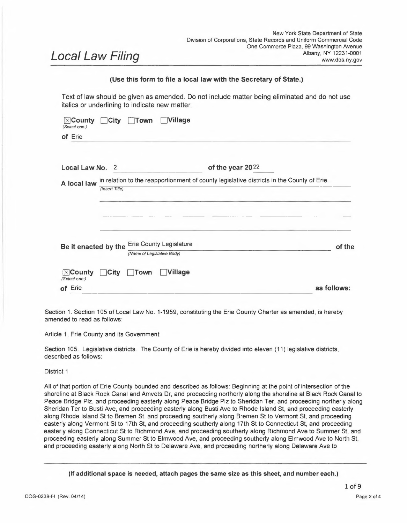Hamburg village line to W View Ave, and proceeding westerly along W View Ave to the Hamburg village line, and proceeding northerly along the Hamburg village line to Pleasant Ave, and proceeding westerly along Pleasant Ave to W Pleasant Dr, and proceeding westerly along W Pleasant Dr to Pleasant Ave, and proceeding northerly along Pleasant Ave to Amsdell Rd, and proceeding westerly along Amsdell Rd to Southwestern Blvd, and proceeding easterly along Southwestern Blvd to Rogers Rd, and proceeding northerly along Rogers Rd to Cloverbank Rd, and proceeding westerly along Cloverbank Rd to CSX RR, and proceeding westerly along CSX RR to the point of beginning.

## District 10

All of that portion of Erie County bounded and described as follows: Beginning at the point of intersection of Dorrance Ave and Onondaga Ave, and proceeding northerly along Onondaga Ave to Potters Rd, and proceeding easterly along Potters Rd to the Buffalo/West Seneca line, and proceeding northerly along the Buffalo/West Seneca line to Penn Central RR, and proceeding easterly along Penn Central RR to Harlem Rd, and proceeding northerly along Harlem Rd to Indian Church Rd, and proceeding easterly along Indian Church Rd to Union Rd, and proceeding northerly along Union to the Cheektowaga/West Seneca town line, and proceeding easterly along the Cheektowaga/West Seneca town line to Town Line Rd, and proceeding southerly along Town Line Rd to the Elma/Marilla town line, and proceeding southerly along the Elma/Marilla town line to the Marilla/Wales town line, and proceeding easterly along the Marilla/Wales town line to the Erie County line, and proceeding easterly along the Erie County line to the Erie County line, and proceeding southerly along the Erie County line to the Erie County line, and proceeding westerly along the Erie County line to the Collins/Concord town line, and proceeding northerly along the Collins/Concord town line to the North Collins/Concord town line, and proceeding northerly along the North Collins/Concord town line to the Boston/Concord town line, and proceeding easterly along the Boston/Concord town line to the Boston/Colden town line, and proceeding northerly along the Boston/Colden town line to the Orchard Park/Aurora town line, and proceeding northerly along the Orchard Park/Aurora town line to the Orchard Park/Elma town line, and proceeding northerly along the Orchard Park/Elma town line to the West Seneca/Orchard Park town line, and proceeding westerly along the West Seneca/Orchard Park town line to the West Seneca/Lackawanna town line, and proceeding northerly along the West Seneca/Lackawanna town line to Dorrance Ave, and proceeding easterly along Dorrance Ave to the point of beginning.

## District <sup>11</sup>

All of that portion of Erie County bounded and described as follows: Beginning at the southwesterly point of the Erie County line, and proceeding northerly along the Erie County line to Wanakah Hts, and proceeding southerly along Wanakah Hts to Pleasant Ave, and proceeding southerly along Pleasant Ave to CSX RR, and proceeding easterly along CSX RR to Cloverbank Rd, and proceeding easterly along Cloverbank Rd to Rogers Rd, and proceeding southerly along Rogers Rd to Southwestern Blvd, and proceeding westerly along Southwestern Blvd to Amsdell Rd, and proceeding easterly along Amsdell Rd to Pleasant Ave, and proceeding southerly along Pleasant Ave to W Pleasant Dr, and proceeding easterly along W Pleasant Dr to I-90, and proceeding easterly along I-90 to Pleasant Ave, and proceeding southerly along Pleasant Ave to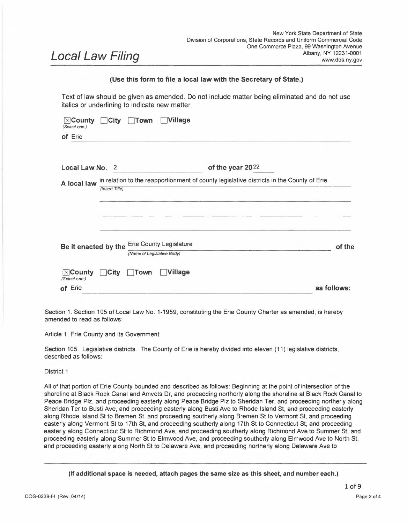the Hamburg village line, and proceeding southerly along the Hamburg village line to W View Ave, and proceeding easterly along W View Ave to the Hamburg village line, and proceeding southerly along the Hamburg village line to <sup>E</sup> Main St, and proceeding easterly along <sup>E</sup> Main St to Boston State Rd, and proceeding easterly along Boston State Rd to Sunnyside Dr, and proceeding northerly along Sunnyside Dr to Newton Rd, and proceeding easterly along Newton Rd to McKinley Pkwy, and proceeding northerly along McKinley Pkwy to Salisbury Pl, and proceeding easterly along Salisbury Pl to Rush Crk, and proceeding northerly along Rush Crk to Clark St, and proceeding easterly along Clark St to Knab Dr, and proceeding easterly along Knab Dr to High St, and proceeding southerly along High St to Best St, and proceeding easterly along Best St to S Abbott Rd, and proceeding northerly along S Abbott Rd to the Hamburg/Orchard Park town line, and proceeding northerly along the Hamburg/Orchard Park town line to the Lackawanna/Orchard Park town line, and proceeding easterly along the Lackawanna/Orchard Park town line to the West Seneca/Orchard Park town line, and proceeding easterly along the West Seneca/Orchard Park town line to the Elma/Orchard Park town line, and proceeding southerly along the Elma/Orchard Park town line to the Aurora/Orchard Park town line, and proceeding southerly along the Aurora/Orchard Park town line to the Boston/Colden town line, and proceeding southerly along the Boston/Colden town line to the Boston/Concord town line, and proceeding westerly along the Boston/Concord town line to the North Collins/Concord town line, and proceeding southerly along the North Collins/Concord town line to the Collins/Concord town line, and proceeding southerly along the Collins/Concord town line to the Erie County line, and proceeding westerly along the Erie County line to the point of beginning.

Section 2. Effective Date. This Local Law shall take effect upon filing with the New York State Secretary of State.

Section 3. Severability. If any clause, sentence, paragraph, subdivision, section or part of this law or the application thereof to any person, individual, corporation, firm, partnership, or business shall be adjudged by any court of competent jurisdiction to be invalid or unconstitutional, such order or judgment shall not affect, impair or invalidate the remainder thereof but shall be confined in its operation to the clause, sentence, paragraph, subdivision, section or part of this law, or in its specific application.

## **Sponsors:**

April N.M. Baskin Timothy Meyers Howard Johnson Lisa Chimera Jeanne Vinal John Gilmour Kevin Hardwick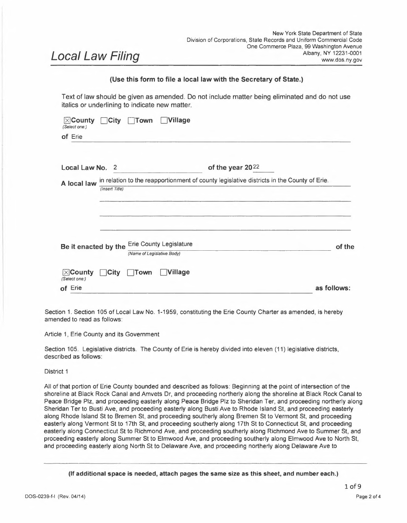#### **(Complete the certification in the paragraph that applies to the filing of this local law and strike out that which is not applicable.)**

<sup>\*</sup> Elective Chief Executive Officer means or includes the chief executive officer of <sup>a</sup> county elected on <sup>a</sup> county-wide basis or, ifthere be none, the chairperson of the county legislative body, the mayor of <sup>a</sup> city or village, or the supervisor of <sup>a</sup> town where such officer is vested with the power to approve or veto local laws or ordinances.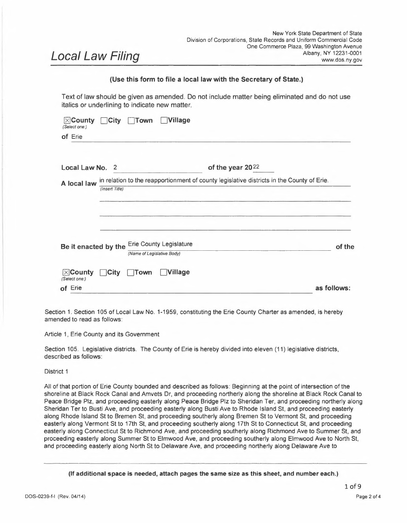#### **5. (City local law concerning Charter revision proposed by petition.)** <sup>I</sup> hereby certify that the local law annexed hereto, designated as local law No. of 20 of the City of **having been submitted to referendum pursuant to the provisions of section (36)(37) of** the Municipal Home Rule Law, and having received the affirmative vote of a majority of the qualified electors of such city voting thereon at the (special)(general) election held on 20 became operative.

## **6. (County local law concerning adoption of Charter.)**

<sup>I</sup> hereby certify that the local law annexed hereto, designated as local law No. of 20 of 5. (City local law concerning Charter revision proposed by petition.)<br>
The County of the County of the Could law annexed hereto, designated as local law No.<br>
The County of  $\frac{1}{30(37)}$  the Municipal Home Rule Law, and ha November 20\_\_, pursuant to subdivisions <sup>5</sup> and <sup>7</sup> of section <sup>33</sup> of the Municipal Home Rule Law, and having received the affirmative vote of a majority of the qualified electors of the cities of said county as a unit and a majority of the qualified electors of the towns of said county considered as a unit voting at said general election, became operative.

| (If any other authorized form of final adoption has been followed, please provide and appropriate certification.)<br>I further certify that I have compared the preceding local law with the original on file in this office and that the same is a<br>correct transcript therefrom and of the whole of such original local law, and was finally adopted in the manner indicated in<br>paragraph $2$<br>above. |                                                                                                                               |
|----------------------------------------------------------------------------------------------------------------------------------------------------------------------------------------------------------------------------------------------------------------------------------------------------------------------------------------------------------------------------------------------------------------|-------------------------------------------------------------------------------------------------------------------------------|
| 'Seal)                                                                                                                                                                                                                                                                                                                                                                                                         | Clerk of the county legislative body, City, Town or Village Clerk or<br>officer designated by local legislative body<br>Date: |

*(Seal)*

DOS-0239-f-l (Rev. 04/14) Page <sup>4</sup> of <sup>4</sup>